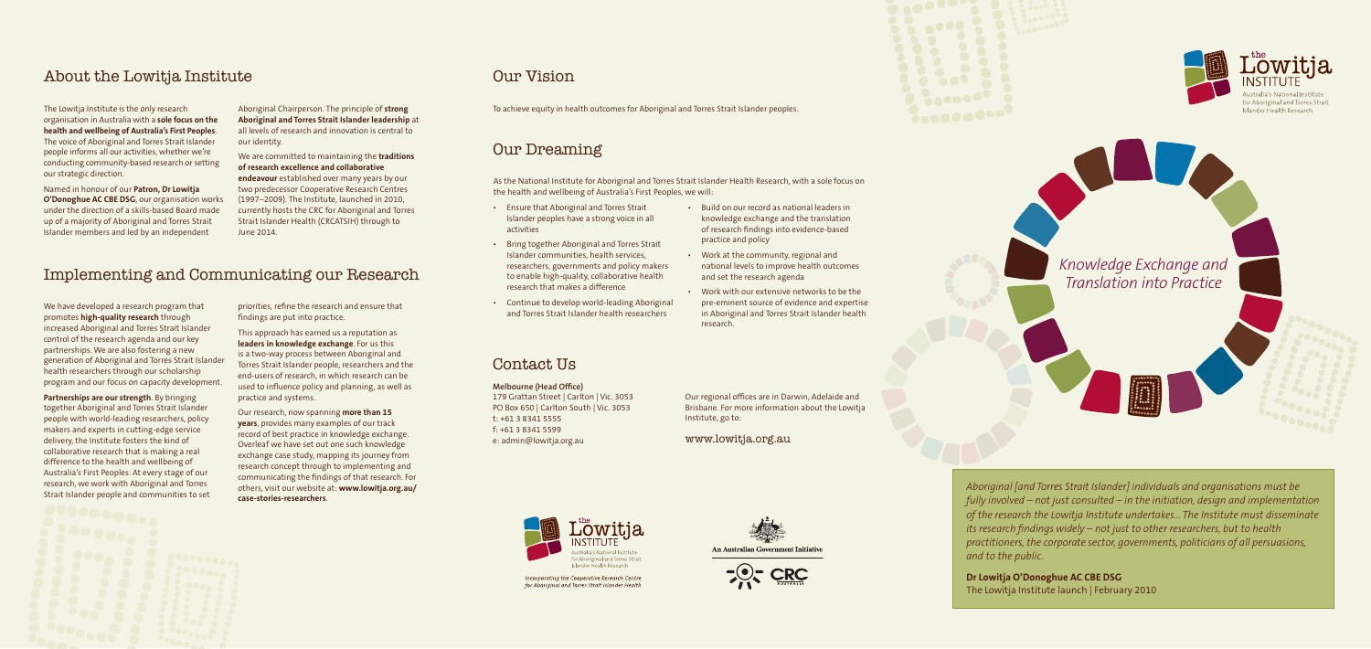# Our Vision

# Our Dreaming

# Contact Us

#### **Melbourne (Head Office)**

179 Grattan Street | Carlton | Vic. 3053 PO Box 650 | Carlton South | Vic. 3053 t: +61 3 8341 5555 f: +61 3 8341 5599 e: admin@lowitja.org.au



Incorporating the Cooperative Research Centre for Aboriginal and Torres Strait Islander Health

Our regional offices are in Darwin, Adelaide and Brisbane. For more information about the Lowitja Institute, go to:

www.lowitja.org.au







for Aboriginal and Torres Strait

*Knowledge Exchange and Translation into Practice*

*Aboriginal [and Torres Strait Islander] individuals and organisations must be fully involved – not just consulted – in the initiation, design and implementation of the research the Lowitja Institute undertakes… The Institute must disseminate its research findings widely – not just to other researchers, but to health practitioners, the corporate sector, governments, politicians of all persuasions, and to the public.*

**Dr Lowitja O'Donoghue AC CBE DSG** The Lowitja Institute launch | February 2010

To achieve equity in health outcomes for Aboriginal and Torres Strait Islander peoples.

- Ensure that Aboriginal and Torres Strait Islander peoples have a strong voice in all activities
- Bring together Aboriginal and Torres Strait Islander communities, health services, researchers, governments and policy makers to enable high-quality, collaborative health research that makes a difference
- Continue to develop world-leading Aboriginal and Torres Strait Islander health researchers
- Build on our record as national leaders in knowledge exchange and the translation of research findings into evidence-based practice and policy
- Work at the community, regional and national levels to improve health outcomes and set the research agenda
- Work with our extensive networks to be the pre-eminent source of evidence and expertise in Aboriginal and Torres Strait Islander health research.

As the National Institute for Aboriginal and Torres Strait Islander Health Research, with a sole focus on the health and wellbeing of Australia's First Peoples, we will:

# About the Lowitja Institute

The Lowitja Institute is the only research organisation in Australia with a **sole focus on the health and wellbeing of Australia's First Peoples**. The voice of Aboriginal and Torres Strait Islander people informs all our activities, whether we're conducting community-based research or setting our strategic direction.

Named in honour of our **Patron, Dr Lowitja O'Donoghue AC CBE DSG**, our organisation works under the direction of a skills-based Board made up of a majority of Aboriginal and Torres Strait Islander members and led by an independent

Aboriginal Chairperson. The principle of **strong Aboriginal and Torres Strait Islander leadership** at all levels of research and innovation is central to our identity.

We are committed to maintaining the **traditions of research excellence and collaborative endeavour** established over many years by our two predecessor Cooperative Research Centres (1997–2009). The Institute, launched in 2010, currently hosts the CRC for Aboriginal and Torres Strait Islander Health (CRCATSIH) through to June 2014.

# Implementing and Communicating our Research

We have developed a research program that promotes **high-quality research** through increased Aboriginal and Torres Strait Islander control of the research agenda and our key partnerships. We are also fostering a new generation of Aboriginal and Torres Strait Islander health researchers through our scholarship program and our focus on capacity development.

**Partnerships are our strength**. By bringing together Aboriginal and Torres Strait Islander people with world-leading researchers, policy makers and experts in cutting-edge service delivery, the Institute fosters the kind of collaborative research that is making a real difference to the health and wellbeing of Australia's First Peoples. At every stage of our research, we work with Aboriginal and Torres Strait Islander people and communities to set priorities, refine the research and ensure that findings are put into practice.

This approach has earned us a reputation as **leaders in knowledge exchange**. For us this is a two-way process between Aboriginal and Torres Strait Islander people, researchers and the end-users of research, in which research can be used to influence policy and planning, as well as practice and systems.

Our research, now spanning **more than 15 years**, provides many examples of our track record of best practice in knowledge exchange. Overleaf we have set out one such knowledge exchange case study, mapping its journey from research concept through to implementing and communicating the findings of that research. For others, visit our website at: **www.lowitja.org.au/ case-stories-researchers**.